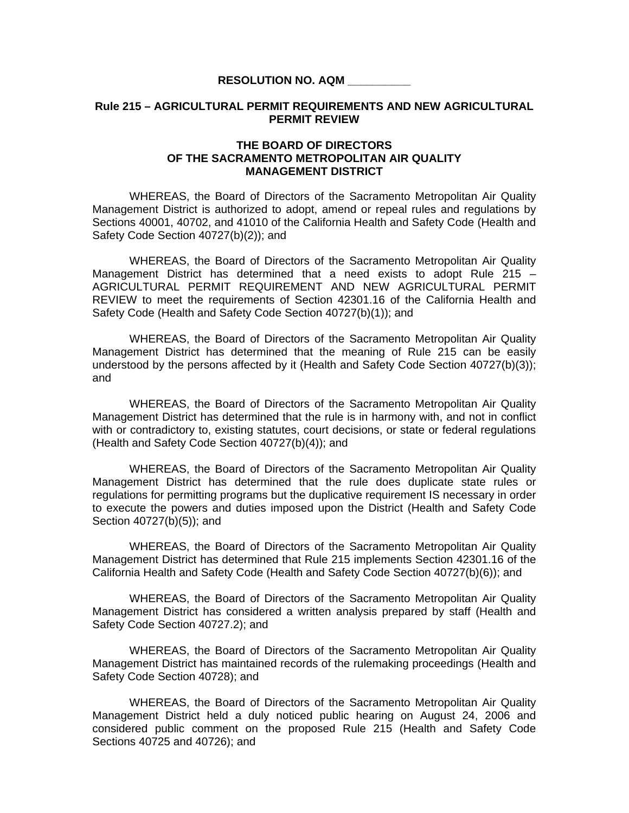## **RESOLUTION NO. AQM \_\_\_\_\_\_\_\_\_\_**

## **Rule 215 – AGRICULTURAL PERMIT REQUIREMENTS AND NEW AGRICULTURAL PERMIT REVIEW**

## **THE BOARD OF DIRECTORS OF THE SACRAMENTO METROPOLITAN AIR QUALITY MANAGEMENT DISTRICT**

 WHEREAS, the Board of Directors of the Sacramento Metropolitan Air Quality Management District is authorized to adopt, amend or repeal rules and regulations by Sections 40001, 40702, and 41010 of the California Health and Safety Code (Health and Safety Code Section 40727(b)(2)); and

WHEREAS, the Board of Directors of the Sacramento Metropolitan Air Quality Management District has determined that a need exists to adopt Rule 215 – AGRICULTURAL PERMIT REQUIREMENT AND NEW AGRICULTURAL PERMIT REVIEW to meet the requirements of Section 42301.16 of the California Health and Safety Code (Health and Safety Code Section 40727(b)(1)); and

 WHEREAS, the Board of Directors of the Sacramento Metropolitan Air Quality Management District has determined that the meaning of Rule 215 can be easily understood by the persons affected by it (Health and Safety Code Section 40727(b)(3)); and

 WHEREAS, the Board of Directors of the Sacramento Metropolitan Air Quality Management District has determined that the rule is in harmony with, and not in conflict with or contradictory to, existing statutes, court decisions, or state or federal regulations (Health and Safety Code Section 40727(b)(4)); and

 WHEREAS, the Board of Directors of the Sacramento Metropolitan Air Quality Management District has determined that the rule does duplicate state rules or regulations for permitting programs but the duplicative requirement IS necessary in order to execute the powers and duties imposed upon the District (Health and Safety Code Section 40727(b)(5)); and

 WHEREAS, the Board of Directors of the Sacramento Metropolitan Air Quality Management District has determined that Rule 215 implements Section 42301.16 of the California Health and Safety Code (Health and Safety Code Section 40727(b)(6)); and

WHEREAS, the Board of Directors of the Sacramento Metropolitan Air Quality Management District has considered a written analysis prepared by staff (Health and Safety Code Section 40727.2); and

WHEREAS, the Board of Directors of the Sacramento Metropolitan Air Quality Management District has maintained records of the rulemaking proceedings (Health and Safety Code Section 40728); and

 WHEREAS, the Board of Directors of the Sacramento Metropolitan Air Quality Management District held a duly noticed public hearing on August 24, 2006 and considered public comment on the proposed Rule 215 (Health and Safety Code Sections 40725 and 40726); and